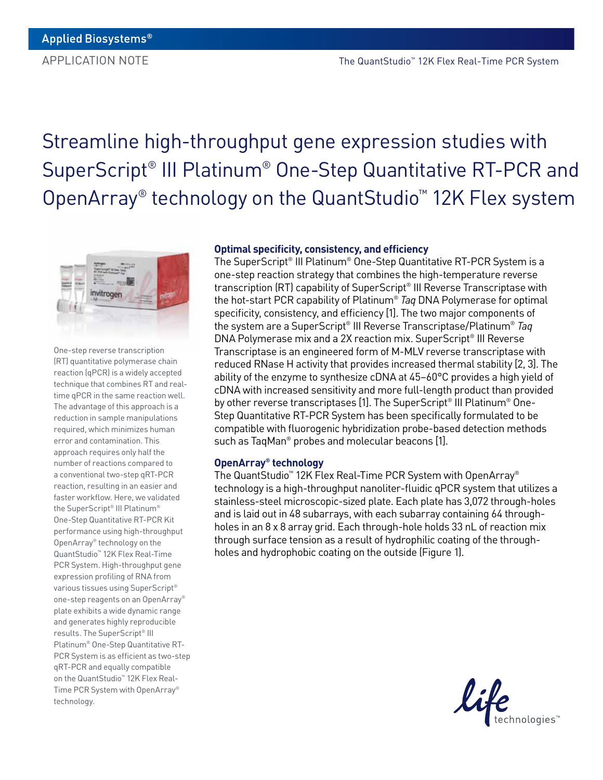# Streamline high-throughput gene expression studies with SuperScript® III Platinum® One-Step Quantitative RT-PCR and OpenArray® technology on the QuantStudio™ 12K Flex system



One-step reverse transcription (RT) quantitative polymerase chain reaction (qPCR) is a widely accepted technique that combines RT and realtime qPCR in the same reaction well. The advantage of this approach is a reduction in sample manipulations required, which minimizes human error and contamination. This approach requires only half the number of reactions compared to a conventional two-step qRT-PCR reaction, resulting in an easier and faster workflow. Here, we validated the SuperScript® III Platinum® One-Step Quantitative RT-PCR Kit performance using high-throughput OpenArray® technology on the QuantStudio™ 12K Flex Real-Time PCR System. High-throughput gene expression profiling of RNA from various tissues using SuperScript® one-step reagents on an OpenArray® plate exhibits a wide dynamic range and generates highly reproducible results. The SuperScript® III Platinum® One-Step Quantitative RT-PCR System is as efficient as two-step qRT-PCR and equally compatible on the QuantStudio™ 12K Flex Real-Time PCR System with OpenArray® technology.

# **Optimal specificity, consistency, and efficiency**

The SuperScript® III Platinum® One-Step Quantitative RT-PCR System is a one-step reaction strategy that combines the high-temperature reverse transcription (RT) capability of SuperScript® III Reverse Transcriptase with the hot-start PCR capability of Platinum® *Taq* DNA Polymerase for optimal specificity, consistency, and efficiency [1]. The two major components of the system are a SuperScript® III Reverse Transcriptase/Platinum® *Taq* DNA Polymerase mix and a 2X reaction mix. SuperScript® III Reverse Transcriptase is an engineered form of M-MLV reverse transcriptase with reduced RNase H activity that provides increased thermal stability [2, 3]. The ability of the enzyme to synthesize cDNA at 45–60°C provides a high yield of cDNA with increased sensitivity and more full-length product than provided by other reverse transcriptases [1]. The SuperScript® III Platinum® One-Step Quantitative RT-PCR System has been specifically formulated to be compatible with fluorogenic hybridization probe-based detection methods such as TaqMan® probes and molecular beacons [1].

## **OpenArray® technology**

The QuantStudio™ 12K Flex Real-Time PCR System with OpenArray® technology is a high-throughput nanoliter-fluidic qPCR system that utilizes a stainless-steel microscopic-sized plate. Each plate has 3,072 through-holes and is laid out in 48 subarrays, with each subarray containing 64 throughholes in an 8 x 8 array grid. Each through-hole holds 33 nL of reaction mix through surface tension as a result of hydrophilic coating of the throughholes and hydrophobic coating on the outside (Figure 1).

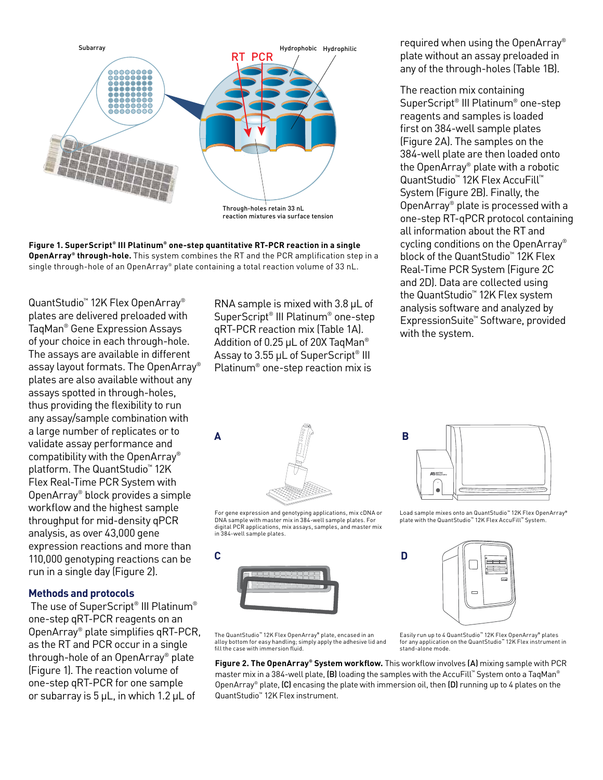

**Figure 1. SuperScript® III Platinum® one-step quantitative RT-PCR reaction in a single OpenArray® through-hole.** This system combines the RT and the PCR amplification step in a single through-hole of an OpenArray® plate containing a total reaction volume of 33 nL.

QuantStudio™ 12K Flex OpenArray® plates are delivered preloaded with TaqMan® Gene Expression Assays of your choice in each through-hole. The assays are available in different assay layout formats. The OpenArray® plates are also available without any assays spotted in through-holes, thus providing the flexibility to run any assay/sample combination with a large number of replicates or to validate assay performance and compatibility with the OpenArray® platform. The QuantStudio<sup>™</sup> 12K Flex Real-Time PCR System with OpenArray® block provides a simple workflow and the highest sample throughput for mid-density qPCR analysis, as over 43,000 gene expression reactions and more than 110,000 genotyping reactions can be run in a single day (Figure 2).

## **Methods and protocols**

 The use of SuperScript® III Platinum® one-step qRT-PCR reagents on an OpenArray® plate simplifies qRT-PCR, as the RT and PCR occur in a single through-hole of an OpenArray® plate (Figure 1). The reaction volume of one-step qRT-PCR for one sample or subarray is 5 µL, in which 1.2 µL of

RNA sample is mixed with 3.8 µL of SuperScript® III Platinum® one-step qRT-PCR reaction mix (Table 1A). Addition of 0.25 µL of 20X TaqMan<sup>®</sup> Assay to 3.55 µL of SuperScript<sup>®</sup> III Platinum® one-step reaction mix is

required when using the OpenArray® plate without an assay preloaded in any of the through-holes (Table 1B).

The reaction mix containing SuperScript® III Platinum® one-step reagents and samples is loaded first on 384-well sample plates (Figure 2A). The samples on the 384-well plate are then loaded onto the OpenArray® plate with a robotic QuantStudio™ 12K Flex AccuFill™ System (Figure 2B). Finally, the OpenArray® plate is processed with a one-step RT-qPCR protocol containing all information about the RT and cycling conditions on the OpenArray® block of the QuantStudio™ 12K Flex Real-Time PCR System (Figure 2C and 2D). Data are collected using the QuantStudio™ 12K Flex system analysis software and analyzed by ExpressionSuite™ Software, provided with the system.



For gene expression and genotyping applications, mix cDNA or DNA sample with master mix in 384-well sample plates. For digital PCR applications, mix assays, samples, and master mix in 384-well sample plates.





Load sample mixes onto an QuantStudio™ 12K Flex OpenArray® plate with the QuantStudio™ 12K Flex AccuFill™ System.



The QuantStudio™ 12K Flex OpenArray® plate, encased in an alloy bottom for easy handling; simply apply the adhesive lid and fill the case with immersion fluid.

Easily run up to 4 QuantStudio™ 12K Flex OpenArray® plates for any application on the QuantStudio™ 12K Flex instrument in stand-alone mode.

**Figure 2. The OpenArray® System workflow.** This workflow involves (A) mixing sample with PCR master mix in a 384-well plate, (B) loading the samples with the AccuFill™ System onto a TaqMan® OpenArray® plate,  $(C)$  encasing the plate with immersion oil, then  $(D)$  running up to 4 plates on the QuantStudio™ 12K Flex instrument.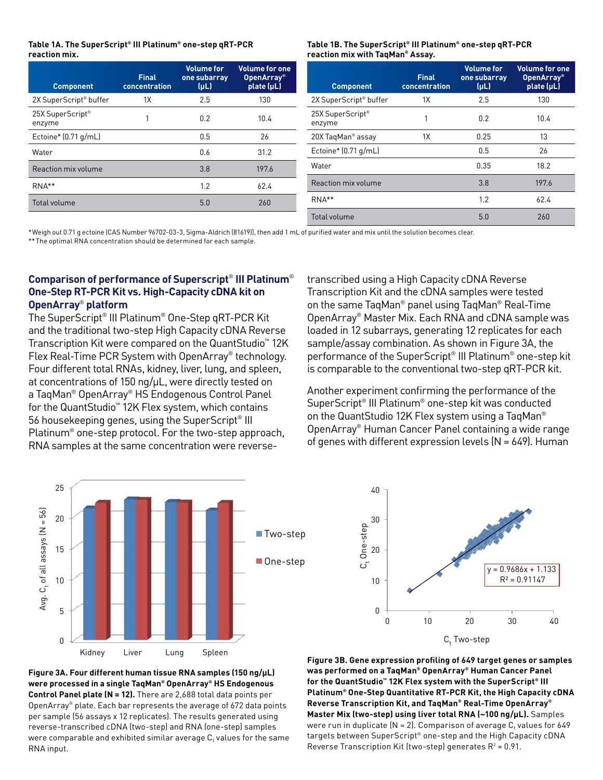### **Table 1A. The SuperScript® III Platinum® one-step qRT-PCR reaction mix.**

| <b>Component</b>                   | <b>Final</b><br>concentration | <b>Volume for</b><br>one subarray<br>$(\mu L)$ | <b>Volume for one</b><br>OpenArray <sup>®</sup><br>plate (µL) | <b>Component</b>                       | <b>Final</b><br>concentration | <b>Volume for</b><br>one subarray<br>$(\mu L)$ | <b>Volume for one</b><br><b>OpenArray</b> <sup>®</sup><br>plate (µL) |
|------------------------------------|-------------------------------|------------------------------------------------|---------------------------------------------------------------|----------------------------------------|-------------------------------|------------------------------------------------|----------------------------------------------------------------------|
| 2X SuperScript <sup>®</sup> buffer | 1X                            | 2.5                                            | 130                                                           | 2X SuperScript <sup>®</sup> buffer     | 1X                            | 2.5                                            | 130                                                                  |
| 25X SuperScript®<br>enzyme         |                               | 0.2                                            | 10.4                                                          | 25X SuperScript <sup>®</sup><br>enzyme |                               | 0.2                                            | 10.4                                                                 |
| Ectoine* (0.71 g/mL)               |                               | 0.5                                            | 26                                                            | 20X TaqMan® assay                      | 1X                            | 0.25                                           | 13                                                                   |
| Water                              |                               | 0.6                                            | 31.2                                                          | Ectoine* (0.71 g/mL)                   |                               | 0.5                                            | 26                                                                   |
| Reaction mix volume                |                               | 3.8                                            | 197.6                                                         | Water                                  |                               | 0.35                                           | 18.2                                                                 |
| $RNA**$                            |                               | 1.2                                            | 62.4                                                          | Reaction mix volume                    |                               | 3.8                                            | 197.6                                                                |
| Total volume                       |                               | 5.0                                            | 260                                                           | $RNA**$                                |                               | 1.2                                            | 62.4                                                                 |
|                                    |                               |                                                |                                                               | Total volume                           |                               | 5.0                                            | 260                                                                  |

\*Weigh out 0.71 g ectoine (CAS Number 96702-03-3, Sigma-Aldrich (81619)), then add 1 mL of purified water and mix until the solution becomes clear.

\*\*The optimal RNA concentration should be determined for each sample.

# **Comparison of performance of Superscript**® **III Platinum**® **One-Step RT-PCR Kit vs. High-Capacity cDNA kit on OpenArray**® **platform**

The SuperScript® III Platinum® One-Step qRT-PCR Kit and the traditional two-step High Capacity cDNA Reverse Transcription Kit were compared on the QuantStudio™ 12K Flex Real-Time PCR System with OpenArray® technology. Four different total RNAs, kidney, liver, lung, and spleen, at concentrations of 150 ng/µL, were directly tested on a TaqMan® OpenArray® HS Endogenous Control Panel for the QuantStudio™ 12K Flex system, which contains 56 housekeeping genes, using the SuperScript<sup>®</sup> III Platinum® one-step protocol. For the two-step approach, RNA samples at the same concentration were reversetranscribed using a High Capacity cDNA Reverse Transcription Kit and the cDNA samples were tested on the same TaqMan® panel using TaqMan® Real-Time OpenArray® Master Mix. Each RNA and cDNA sample was loaded in 12 subarrays, generating 12 replicates for each sample/assay combination. As shown in Figure 3A, the performance of the SuperScript® III Platinum® one-step kit is comparable to the conventional two-step qRT-PCR kit.

**Table 1B. The SuperScript® III Platinum® one-step qRT-PCR** 

**reaction mix with TaqMan® Assay.**

Another experiment confirming the performance of the SuperScript® III Platinum® one-step kit was conducted on the QuantStudio 12K Flex system using a TaqMan® OpenArray® Human Cancer Panel containing a wide range of genes with different expression levels  $(N = 649)$ . Human





**Figure 3A. Four different human tissue RNA samples (150 ng/µL) were processed in a single TaqMan® OpenArray® HS Endogenous Control Panel plate (N = 12).** There are 2,688 total data points per OpenArray® plate. Each bar represents the average of 672 data points per sample (56 assays x 12 replicates). The results generated using reverse-transcribed cDNA (two-step) and RNA (one-step) samples were comparable and exhibited similar average  $\mathsf{C}_\mathsf{t}$  values for the same RNA input.

**Figure 3B. Gene expression profiling of 649 target genes or samples was performed on a TaqMan® OpenArray® Human Cancer Panel for the QuantStudio™ 12K Flex system with the SuperScript® III Platinum® One-Step Quantitative RT-PCR Kit, the High Capacity cDNA Reverse Transcription Kit, and TaqMan® Real-Time OpenArray® Master Mix (two-step) using liver total RNA (~100 ng/µL).** Samples were run in duplicate (N = 2). Comparison of average C $_{\rm t}$  values for 649 targets between SuperScript® one-step and the High Capacity cDNA Reverse Transcription Kit (two-step) generates  $R^2$  = 0.91.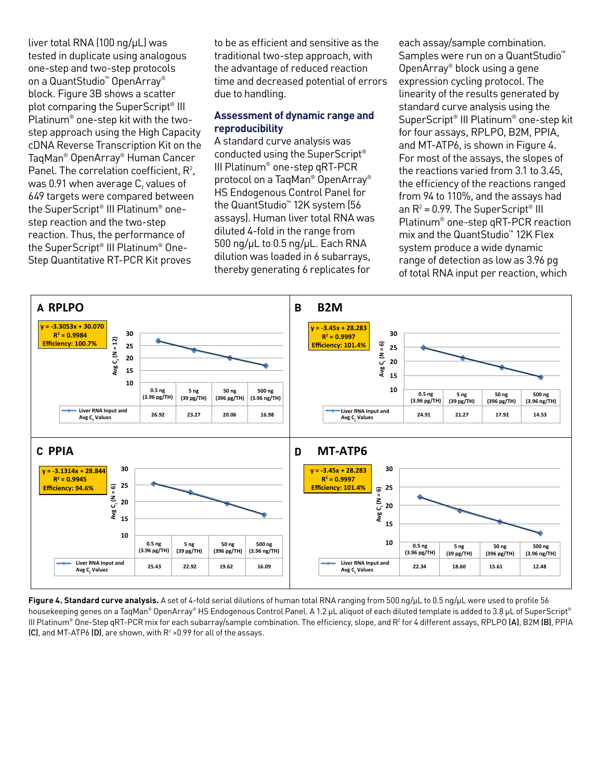liver total RNA (100 ng/µL) was tested in duplicate using analogous one-step and two-step protocols on a QuantStudio™ OpenArray® block. Figure 3B shows a scatter plot comparing the SuperScript® III Platinum® one-step kit with the twostep approach using the High Capacity cDNA Reverse Transcription Kit on the TaqMan® OpenArray® Human Cancer Panel. The correlation coefficient,  $R^2$ , was 0.91 when average  $\mathsf{C}_\mathsf{t}$  values of 649 targets were compared between the SuperScript® III Platinum® onestep reaction and the two-step reaction. Thus, the performance of the SuperScript® III Platinum® One-Step Quantitative RT-PCR Kit proves

to be as efficient and sensitive as the traditional two-step approach, with the advantage of reduced reaction time and decreased potential of errors due to handling.

# **Assessment of dynamic range and reproducibility**

A standard curve analysis was conducted using the SuperScript® III Platinum® one-step qRT-PCR protocol on a TaqMan® OpenArray® HS Endogenous Control Panel for the QuantStudio™ 12K system (56 assays). Human liver total RNA was diluted 4-fold in the range from 500 ng/µL to 0.5 ng/µL. Each RNA dilution was loaded in 6 subarrays, thereby generating 6 replicates for

each assay/sample combination. Samples were run on a QuantStudio<sup>™</sup> OpenArray® block using a gene expression cycling protocol. The linearity of the results generated by standard curve analysis using the SuperScript® III Platinum® one-step kit for four assays, RPLPO, B2M, PPIA, and MT-ATP6, is shown in Figure 4. For most of the assays, the slopes of the reactions varied from 3.1 to 3.45, the efficiency of the reactions ranged from 94 to 110%, and the assays had an  $R^2$  = 0.99. The SuperScript® III Platinum® one-step qRT-PCR reaction mix and the QuantStudio™ 12K Flex system produce a wide dynamic range of detection as low as 3.96 pg of total RNA input per reaction, which



**Figure 4. Standard curve analysis.** A set of 4-fold serial dilutions of human total RNA ranging from 500 ng/µL to 0.5 ng/µL were used to profile 56 housekeeping genes on a TaqMan® OpenArray® HS Endogenous Control Panel. A 1.2 µL aliquot of each diluted template is added to 3.8 µL of SuperScript® III Platinum® One-Step qRT-PCR mix for each subarray/sample combination. The efficiency, slope, and R<sup>2</sup> for 4 different assays, RPLPO (**A**), B2M (**B)**, PPIA  $\left[{\rm C}\right]$ , and MT-ATP6  $\left[{\rm D}\right]$ , are shown, with  ${\rm R^2}$  >0.99 for all of the assays.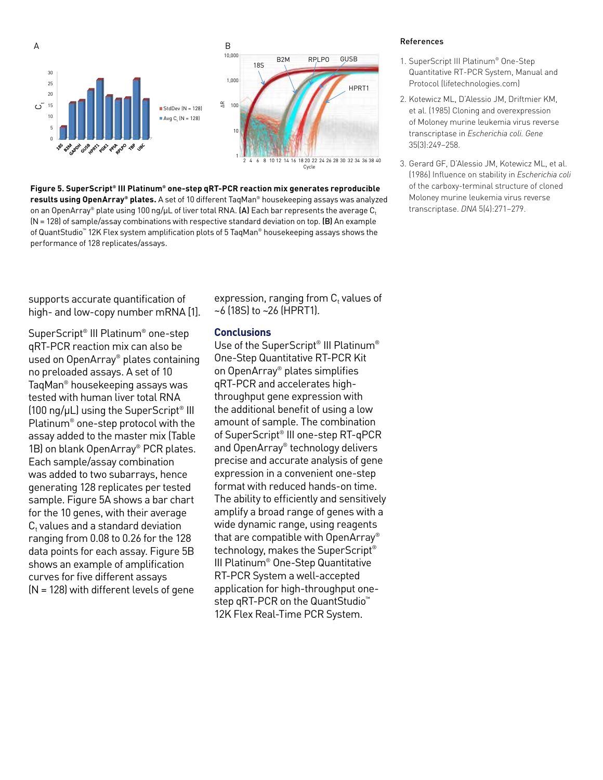

**Figure 5. SuperScript® III Platinum® one-step qRT-PCR reaction mix generates reproducible results using OpenArray® plates.** A set of 10 different TaqMan® housekeeping assays was analyzed on an OpenArray® plate using 100 ng/µL of liver total RNA.  $(A)$  Each bar represents the average C, (N = 128) of sample/assay combinations with respective standard deviation on top. (B) An example of QuantStudio™ 12K Flex system amplification plots of 5 TaqMan® housekeeping assays shows the performance of 128 replicates/assays.

supports accurate quantification of high- and low-copy number mRNA [1].

SuperScript® III Platinum® one-step qRT-PCR reaction mix can also be used on OpenArray® plates containing no preloaded assays. A set of 10 TaqMan® housekeeping assays was tested with human liver total RNA  $(100 \text{ ng}/\mu L)$  using the SuperScript<sup>®</sup> III Platinum® one-step protocol with the assay added to the master mix (Table 1B) on blank OpenArray® PCR plates. Each sample/assay combination was added to two subarrays, hence generating 128 replicates per tested sample. Figure 5A shows a bar chart for the 10 genes, with their average  $C<sub>t</sub>$  values and a standard deviation ranging from 0.08 to 0.26 for the 128 data points for each assay. Figure 5B shows an example of amplification curves for five different assays (N = 128) with different levels of gene

expression, ranging from  $\mathsf{C}_\mathsf{t}$  values of ~6 (18S) to ~26 (HPRT1).

# **Conclusions**

Use of the SuperScript<sup>®</sup> III Platinum<sup>®</sup> One-Step Quantitative RT-PCR Kit on OpenArray® plates simplifies qRT-PCR and accelerates highthroughput gene expression with the additional benefit of using a low amount of sample. The combination of SuperScript® III one-step RT-qPCR and OpenArray® technology delivers precise and accurate analysis of gene expression in a convenient one-step format with reduced hands-on time. The ability to efficiently and sensitively amplify a broad range of genes with a wide dynamic range, using reagents that are compatible with OpenArray® technology, makes the SuperScript® III Platinum® One-Step Quantitative RT-PCR System a well-accepted application for high-throughput onestep qRT-PCR on the QuantStudio<sup>™</sup> 12K Flex Real-Time PCR System.

#### References

- 1. SuperScript III Platinum® One-Step Quantitative RT-PCR System, Manual and Protocol (lifetechnologies.com)
- 2. Kotewicz ML, D'Alessio JM, Driftmier KM, et al. (1985) Cloning and overexpression of Moloney murine leukemia virus reverse transcriptase in *Escherichia coli. Gene*  35(3):249–258.
- 3. Gerard GF, D'Alessio JM, Kotewicz ML, et al. (1986) Influence on stability in *Escherichia coli*  of the carboxy-terminal structure of cloned Moloney murine leukemia virus reverse transcriptase. *DNA* 5(4):271–279.